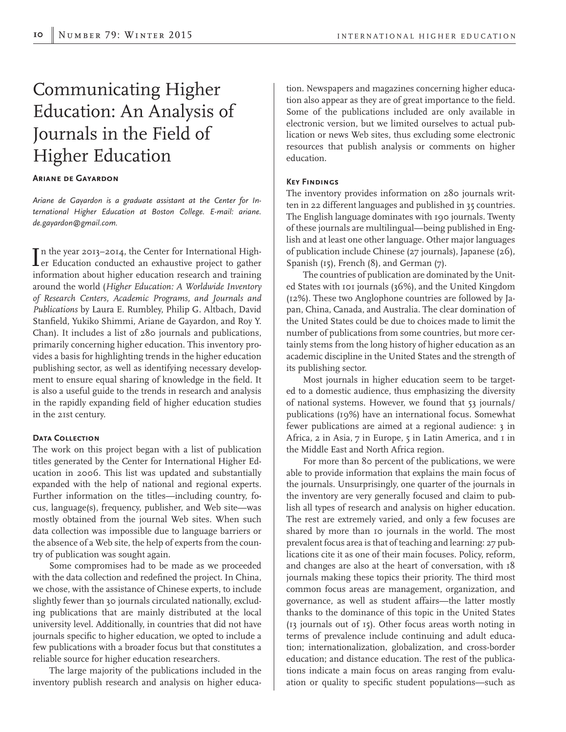# Communicating Higher Education: An Analysis of Journals in the Field of Higher Education

### **Ariane de Gayardon**

*Ariane de Gayardon is a graduate assistant at the Center for International Higher Education at Boston College. E-mail: ariane. de.gayardon@gmail.com.*

In the year 2013–2014, the Center for International High-<br>
er Education conducted an exhaustive project to gather  $\blacksquare$  er Education conducted an exhaustive project to gather information about higher education research and training around the world (*Higher Education: A Worldwide Inventory of Research Centers, Academic Programs, and Journals and Publications* by Laura E. Rumbley, Philip G. Altbach, David Stanfield, Yukiko Shimmi, Ariane de Gayardon, and Roy Y. Chan). It includes a list of 280 journals and publications, primarily concerning higher education. This inventory provides a basis for highlighting trends in the higher education publishing sector, as well as identifying necessary development to ensure equal sharing of knowledge in the field. It is also a useful guide to the trends in research and analysis in the rapidly expanding field of higher education studies in the 21st century.

### **DATA COLLECTION**

The work on this project began with a list of publication titles generated by the Center for International Higher Education in 2006. This list was updated and substantially expanded with the help of national and regional experts. Further information on the titles—including country, focus, language(s), frequency, publisher, and Web site—was mostly obtained from the journal Web sites. When such data collection was impossible due to language barriers or the absence of a Web site, the help of experts from the country of publication was sought again.

Some compromises had to be made as we proceeded with the data collection and redefined the project. In China, we chose, with the assistance of Chinese experts, to include slightly fewer than 30 journals circulated nationally, excluding publications that are mainly distributed at the local university level. Additionally, in countries that did not have journals specific to higher education, we opted to include a few publications with a broader focus but that constitutes a reliable source for higher education researchers.

The large majority of the publications included in the inventory publish research and analysis on higher education. Newspapers and magazines concerning higher education also appear as they are of great importance to the field. Some of the publications included are only available in electronic version, but we limited ourselves to actual publication or news Web sites, thus excluding some electronic resources that publish analysis or comments on higher education.

### **Key Findings**

The inventory provides information on 280 journals written in 22 different languages and published in 35 countries. The English language dominates with 190 journals. Twenty of these journals are multilingual—being published in English and at least one other language. Other major languages of publication include Chinese (27 journals), Japanese (26), Spanish (15), French (8), and German (7).

The countries of publication are dominated by the United States with 101 journals (36%), and the United Kingdom (12%). These two Anglophone countries are followed by Japan, China, Canada, and Australia. The clear domination of the United States could be due to choices made to limit the number of publications from some countries, but more certainly stems from the long history of higher education as an academic discipline in the United States and the strength of its publishing sector.

Most journals in higher education seem to be targeted to a domestic audience, thus emphasizing the diversity of national systems. However, we found that 53 journals/ publications (19%) have an international focus. Somewhat fewer publications are aimed at a regional audience: 3 in Africa, 2 in Asia, 7 in Europe, 5 in Latin America, and I in the Middle East and North Africa region.

For more than 80 percent of the publications, we were able to provide information that explains the main focus of the journals. Unsurprisingly, one quarter of the journals in the inventory are very generally focused and claim to publish all types of research and analysis on higher education. The rest are extremely varied, and only a few focuses are shared by more than 10 journals in the world. The most prevalent focus area is that of teaching and learning: 27 publications cite it as one of their main focuses. Policy, reform, and changes are also at the heart of conversation, with 18 journals making these topics their priority. The third most common focus areas are management, organization, and governance, as well as student affairs—the latter mostly thanks to the dominance of this topic in the United States (13 journals out of 15). Other focus areas worth noting in terms of prevalence include continuing and adult education; internationalization, globalization, and cross-border education; and distance education. The rest of the publications indicate a main focus on areas ranging from evaluation or quality to specific student populations—such as